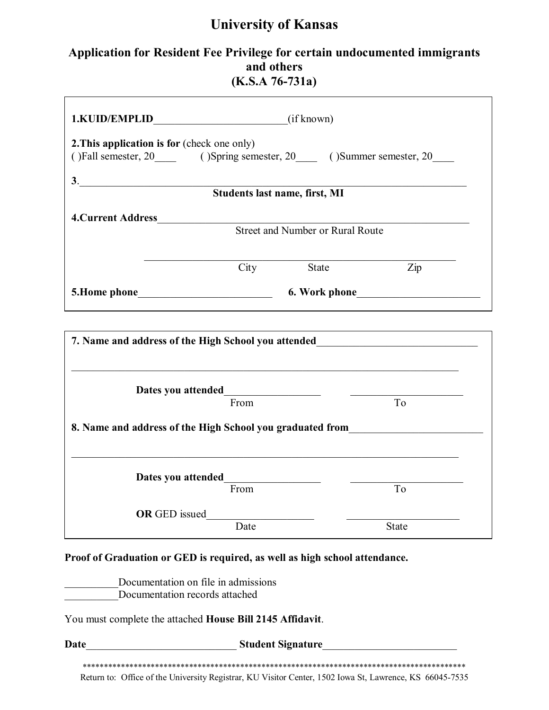# **University of Kansas**

#### **Application for Resident Fee Privilege for certain undocumented immigrants and others (K.S.A 76-731a)**

| <b>2. This application is for (check one only)</b>                         |      | ()Fall semester, 20 ()Spring semester, 20 ()Summer semester, 20                  |
|----------------------------------------------------------------------------|------|----------------------------------------------------------------------------------|
| 3. Students last name, first, MI                                           |      |                                                                                  |
| 4. Current Address                                                         |      |                                                                                  |
|                                                                            |      | Street and Number or Rural Route                                                 |
|                                                                            | City | Zip<br>State                                                                     |
|                                                                            |      |                                                                                  |
|                                                                            |      |                                                                                  |
|                                                                            | From | T <sub>o</sub>                                                                   |
|                                                                            |      | 8. Name and address of the High School you graduated from_______________________ |
|                                                                            |      |                                                                                  |
|                                                                            | From | To                                                                               |
| <b>OR</b> GED issued                                                       |      |                                                                                  |
|                                                                            | Date | <b>State</b>                                                                     |
| Proof of Graduation or GED is required, as well as high school attendance. |      |                                                                                  |
| Documentation on file in admissions                                        |      |                                                                                  |

\_\_\_\_\_\_\_\_\_\_Documentation records attached

You must complete the attached **House Bill 2145 Affidavit**.

**Date**\_\_\_\_\_\_\_\_\_\_\_\_\_\_\_\_\_\_\_\_\_\_\_\_\_\_\_\_ **Student Signature**\_\_\_\_\_\_\_\_\_\_\_\_\_\_\_\_\_\_\_\_\_\_\_\_\_

\*\*\*\*\*\*\*\*\*\*\*\*\*\*\*\*\*\*\*\*\*\*\*\*\*\*\*\*\*\*\*\*\*\*\*\*\*\*\*\*\*\*\*\*\*\*\*\*\*\*\*\*\*\*\*\*\*\*\*\*\*\*\*\*\*\*\*\*\*\*\*\*\*\*\*\*\*\*\*\*\*\*\*\*\*\*\*\*\*\* Return to: Office of the University Registrar, KU Visitor Center, 1502 Iowa St, Lawrence, KS 66045-7535